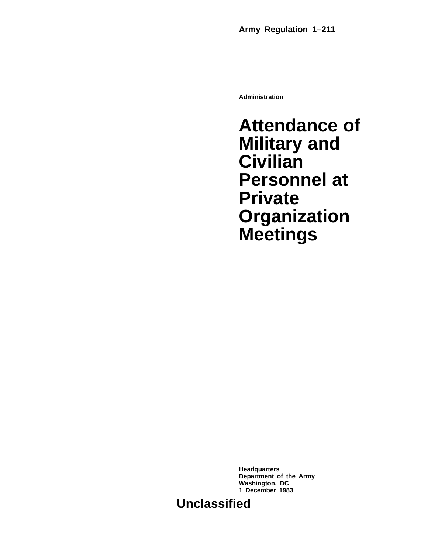**Administration**

**Attendance of Military and Civilian Personnel at Private Organization Meetings**

**Headquarters Department of the Army Washington, DC 1 December 1983**

**Unclassified**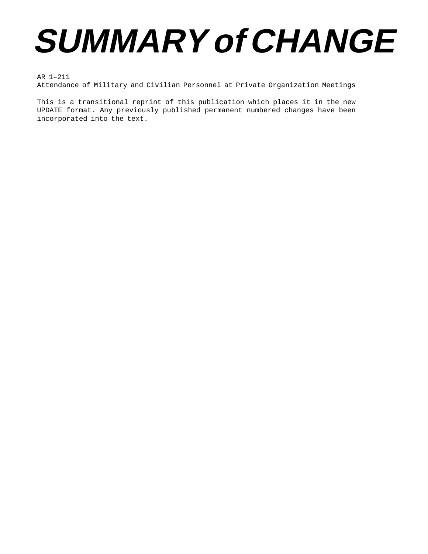# **SUMMARY of CHANGE**

AR 1–211 Attendance of Military and Civilian Personnel at Private Organization Meetings

This is a transitional reprint of this publication which places it in the new UPDATE format. Any previously published permanent numbered changes have been incorporated into the text.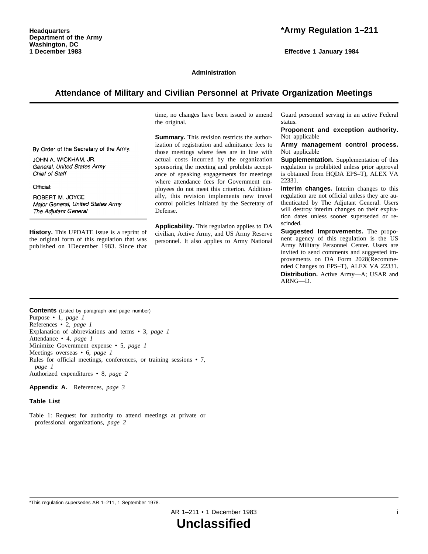**Effective 1 January 1984**

# **Administration**

# **Attendance of Military and Civilian Personnel at Private Organization Meetings**

time, no changes have been issued to amend the original.

**Summary.** This revision restricts the authorization of registration and admittance fees to those meetings where fees are in line with actual costs incurred by the organization sponsoring the meeting and prohibits acceptance of speaking engagements for meetings where attendance fees for Government employees do not meet this criterion. Additionally, this revision implements new travel control policies initiated by the Secretary of Defense.

**Applicability.** This regulation applies to DA civilian, Active Army, and US Army Reserve personnel. It also applies to Army National Guard personnel serving in an active Federal status.

**Proponent and exception authority.** Not applicable

Army management control process. Not applicable

**Supplementation.** Supplementation of this regulation is prohibited unless prior approval is obtained from HQDA EPS–T), ALEX VA 22331.

**Interim changes.** Interim changes to this regulation are not official unless they are authenticated by The Adjutant General. Users will destroy interim changes on their expiration dates unless sooner superseded or rescinded.

**Suggested Improvements.** The proponent agency of this regulation is the US Army Military Personnel Center. Users are invited to send comments and suggested improvements on DA Form 2028(Recommended Changes to EPS–T), ALEX VA 22331. **Distribution.** Active Army—A; USAR and ARNG—D.

By Order of the Secretary of the Army:

JOHN A. WICKHAM, JR. General, United States Army Chief of Staff

Official:

ROBERT M. JOYCE Major General, United States Army The Adjutant General

**History.** This UPDATE issue is a reprint of the original form of this regulation that was published on 1 December 1983. Since that

**Contents** (Listed by paragraph and page number) Purpose • 1, *page 1* References • 2, *page 1* Explanation of abbreviations and terms • 3, *page 1* Attendance • 4, *page 1* Minimize Government expense • 5, *page 1* Meetings overseas • 6, *page 1* Rules for official meetings, conferences, or training sessions • 7, *page 1* Authorized expenditures • 8, *page 2*

#### **Appendix A.** References, *page 3*

#### **Table List**

Table 1: Request for authority to attend meetings at private or professional organizations, *page 2*

\*This regulation supersedes AR 1–211, 1 September 1978.

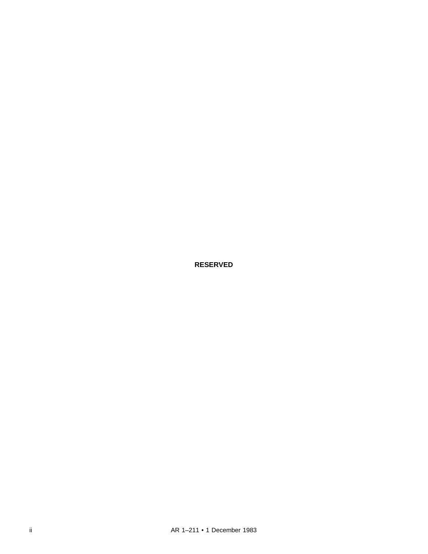**RESERVED**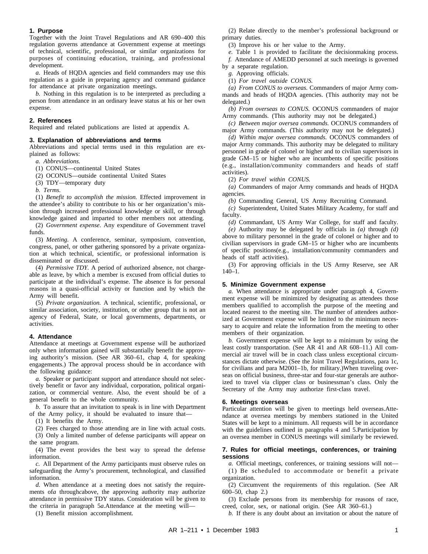#### **1. Purpose**

Together with the Joint Travel Regulations and AR 690–400 this regulation governs attendance at Government expense at meetings of technical, scientific, professional, or similar organizations for purposes of continuing education, training, and professional development.

*a.* Heads of HQDA agencies and field commanders may use this regulation as a guide in preparing agency and command guidance for attendance at private organization meetings.

*b.* Nothing in this regulation is to be interpreted as precluding a person from attendance in an ordinary leave status at his or her own expense.

#### **2. References**

Required and related publications are listed at appendix A.

#### **3. Explanation of abbreviations and terms**

Abbreviations and special terms used in this regulation are explained as follows:

*a. Abbreviations.* 

- (1) CONUS—continental United States
- (2) OCONUS—outside continental United States

(3) TDY—temporary duty

*b. Terms.* 

(1) *Benefit to accomplish the mission.* Effected improvement in the attendee's ability to contribute to his or her organization's mission through increased professional knowledge or skill, or through knowledge gained and imparted to other members not attending.

(2) *Government expense.* Any expenditure of Government travel funds.

(3) *Meeting.* A conference, seminar, symposium, convention, congress, panel, or other gathering sponsored by a private organization at which technical, scientific, or professional information is disseminated or discussed.

(4) *Permissive TDY.* A period of authorized absence, not chargeable as leave, by which a member is excused from official duties to participate at the individual's expense. The absence is for personal reasons in a quasi-official activity or function and by which the Army will benefit.

(5) *Private organization.* A technical, scientific, professional, or similar association, society, institution, or other group that is not an agency of Federal, State, or local governments, departments, or activities.

#### **4. Attendance**

Attendance at meetings at Government expense will be authorized only when information gained will substantially benefit the approving authority's mission. (See AR 360–61, chap 4, for speaking engagements.) The approval process should be in accordance with the following guidance:

*a.* Speaker or participant support and attendance should not selectively benefit or favor any individual, corporation, political organization, or commercial venture. Also, the event should be of a general benefit to the whole community.

*b.* To assure that an invitation to speak is in line with Department of the Army policy, it should be evaluated to insure that—

(1) It benefits the Army.

(2) Fees charged to those attending are in line with actual costs.

(3) Only a limited number of defense participants will appear on the same program.

(4) The event provides the best way to spread the defense information.

*c.* All Department of the Army participants must observe rules on safeguarding the Army's procurement, technological, and classified information.

*d.* When attendance at a meeting does not satisfy the requirements of*a* through*c*above, the approving authority may authorize attendance in permissive TDY status. Consideration will be given to the criteria in paragraph 5*a*.Attendance at the meeting will—

(1) Benefit mission accomplishment.

(2) Relate directly to the member's professional background or primary duties.

(3) Improve his or her value to the Army.

*e.* Table 1 is provided to facilitate the decisionmaking process. *f.* Attendance of AMEDD personnel at such meetings is governed by a separate regulation.

*g.* Approving officials.

(1) *For travel outside CONUS.* 

*(a) From CONUS to overseas.* Commanders of major Army commands and heads of HQDA agencies. (This authority may not be delegated.)

*(b) From overseas to CONUS.* OCONUS commanders of major Army commands. (This authority may not be delegated.)

*(c) Between major oversea commands.* OCONUS commanders of major Army commands. (This authority may not be delegated.)

*(d) Within major oversea commands.* OCONUS commanders of major Army commands. This authority may be delegated to military personnel in grade of colonel or higher and to civilian supervisors in grade GM–15 or higher who are incumbents of specific positions (e.g., installation/community commanders and heads of staff activities).

(2) *For travel within CONUS.* 

*(a)* Commanders of major Army commands and heads of HQDA agencies.

*(b)* Commanding General, US Army Recruiting Command.

*(c)* Superintendent, United States Military Academy, for staff and faculty.

*(d)* Commandant, US Army War College, for staff and faculty. *(e)* Authority may be delegated by officials in *(a)* through *(d)* above to military personnel in the grade of colonel or higher and to civilian supervisors in grade GM–15 or higher who are incumbents of specific positions(e.g., installation/community commanders and heads of staff activities).

(3) For approving officials in the US Army Reserve, see AR 140–1.

#### **5. Minimize Government expense**

*a.* When attendance is appropriate under paragraph 4, Government expense will be minimized by designating as attendees those members qualified to accomplish the purpose of the meeting and located nearest to the meeting site. The number of attendees authorized at Government expense will be limited to the minimum necessary to acquire and relate the information from the meeting to other members of their organization.

*b.* Government expense will be kept to a minimum by using the least costly transportation. (See AR 41 and AR 608–11.) All commercial air travel will be in coach class unless exceptional circumstances dictate otherwise. (See the Joint Travel Regulations, para 1c, for civilians and para M2001–1b, for military.)When traveling overseas on official business, three-star and four-star generals are authorized to travel via clipper class or businessman's class. Only the Secretary of the Army may authorize first-class travel.

#### **6. Meetings overseas**

Particular attention will be given to meetings held overseas.Attendance at oversea meetings by members stationed in the United States will be kept to a minimum. All requests will be in accordance with the guidelines outlined in paragraphs 4 and 5.Participation by an oversea member in CONUS meetings will similarly be reviewed.

#### **7. Rules for official meetings, conferences, or training sessions**

*a.* Official meetings, conferences, or training sessions will not—  $(1)$  Be scheduled to accommodate or benefit a private organization.

(2) Circumvent the requirements of this regulation. (See AR 600–50, chap 2.)

(3) Exclude persons from its membership for reasons of race, creed, color, sex, or national origin. (See AR 360–61.)

*b.* If there is any doubt about an invitation or about the nature of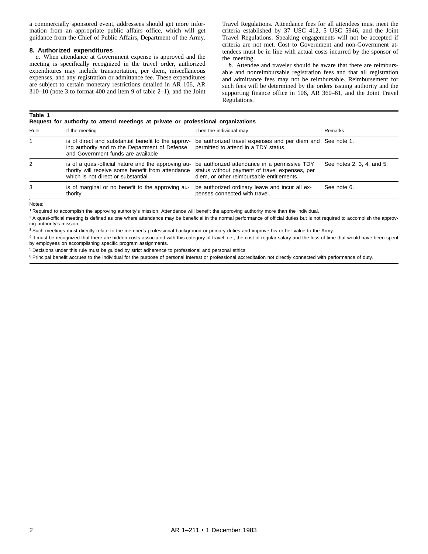a commercially sponsored event, addressees should get more information from an appropriate public affairs office, which will get guidance from the Chief of Public Affairs, Department of the Army.

#### **8. Authorized expenditures**

*a.* When attendance at Government expense is approved and the meeting is specifically recognized in the travel order, authorized expenditures may include transportation, per diem, miscellaneous expenses, and any registration or admittance fee. These expenditures are subject to certain monetary restrictions detailed in AR 106, AR 310–10 (note 3 to format 400 and item 9 of table 2–1), and the Joint Travel Regulations. Attendance fees for all attendees must meet the criteria established by 37 USC 412, 5 USC 5946, and the Joint Travel Regulations. Speaking engagements will not be accepted if criteria are not met. Cost to Government and non-Government attendees must be in line with actual costs incurred by the sponsor of the meeting.

*b.* Attendee and traveler should be aware that there are reimbursable and nonreimbursable registration fees and that all registration and admittance fees may not be reimbursable. Reimbursement for such fees will be determined by the orders issuing authority and the supporting finance office in 106, AR 360–61, and the Joint Travel Regulations.

#### **Table 1 Request for authority to attend meetings at private or professional organizations**

| Rule | If the meeting-                                                                                                                                                                                                                            | Then the individual may-                                                                           | Remarks                   |
|------|--------------------------------------------------------------------------------------------------------------------------------------------------------------------------------------------------------------------------------------------|----------------------------------------------------------------------------------------------------|---------------------------|
|      | is of direct and substantial benefit to the approv-<br>ing authority and to the Department of Defense<br>and Government funds are available                                                                                                | be authorized travel expenses and per diem and See note 1.<br>permitted to attend in a TDY status. |                           |
| 2    | is of a quasi-official nature and the approving au- be authorized attendance in a permissive TDY<br>thority will receive some benefit from attendance status without payment of travel expenses, per<br>which is not direct or substantial | diem, or other reimbursable entitlements.                                                          | See notes 2, 3, 4, and 5. |
| 3    | is of marginal or no benefit to the approving au-<br>thority                                                                                                                                                                               | be authorized ordinary leave and incur all ex-<br>penses connected with travel.                    | See note 6.               |

Notes:

1. Required to accomplish the approving authority's mission. Attendance will benefit the approving authority more than the individual.

 $2.A$  quasi-official meeting is defined as one where attendance may be beneficial in the normal performance of official duties but is not required to accomplish the approving authority's mission.

3. Such meetings must directly relate to the member's professional background or primary duties and improve his or her value to the Army.

4.It must be recognized that there are hidden costs associated with this category of travel, i.e., the cost of regular salary and the loss of time that would have been spent by employees on accomplishing specific program assignments.

5.Decisions under this rule must be guided by strict adherence to professional and personal ethics.

<sup>6.</sup>Principal benefit accrues to the individual for the purpose of personal interest or professional accreditation not directly connected with performance of duty.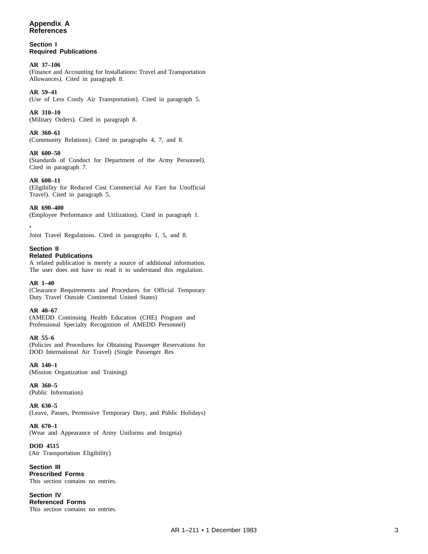# **Appendix A References**

#### **Section I Required Publications**

## **AR 37–106**

(Finance and Accounting for Installations: Travel and Transportation Allowances). Cited in paragraph 8.

# **AR 59–41**

(Use of Less Costly Air Transportation). Cited in paragraph 5.

# **AR 310–10**

(Military Orders). Cited in paragraph 8.

# **AR 360–61**

(Community Relations). Cited in paragraphs 4, 7, and 8.

# **AR 600–50**

(Standards of Conduct for Department of the Army Personnel). Cited in paragraph 7.

# **AR 608–11**

(Eligibility for Reduced Cost Commercial Air Fare for Unofficial Travel). Cited in paragraph 5.

# **AR 690–400**

(Employee Performance and Utilization). Cited in paragraph 1.

**'** Joint Travel Regulations. Cited in paragraphs 1, 5, and 8.

#### **Section II Related Publications**

A related publication is merely a source of additional information. The user does not have to read it to understand this regulation.

## **AR 1–40**

(Clearance Requirements and Procedures for Official Temporary Duty Travel Outside Continental United States)

## **AR 40–67**

(AMEDD Continuing Health Education (CHE) Program and Professional Specialty Recognition of AMEDD Personnel)

## **AR 55–6**

(Policies and Procedures for Obtaining Passenger Reservations for DOD International Air Travel) (Single Passenger Res

**AR 140–1** (Mission Organization and Training)

**AR 360–5** (Public Information)

# **AR 630–5**

(Leave, Passes, Permissive Temporary Duty, and Public Holidays)

## **AR 670–1**

(Wear and Appearance of Army Uniforms and Insignia)

**DOD 4515** (Air Transportation Eligibility)

**Section III Prescribed Forms** This section contains no entries.

**Section IV Referenced Forms** This section contains no entries.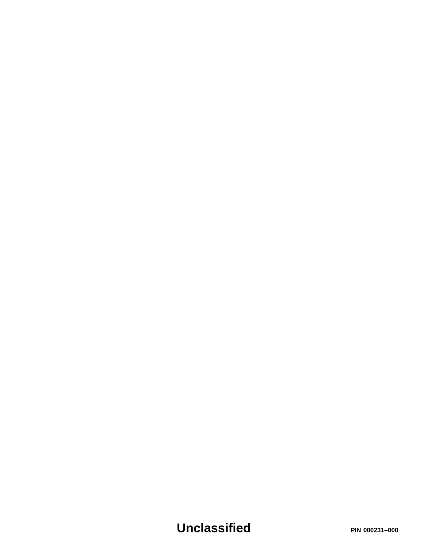**Unclassified**